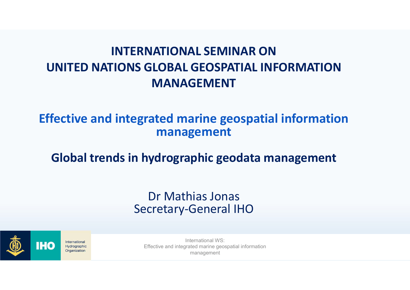# INTERNATIONAL SEMINAR ON UNITED NATIONS GLOBAL GEOSPATIAL INFORMATION MANAGEMENT

# Effective and integrated marine geospatial information management

# Global trends in hydrographic geodata management

### Dr Mathias Jonas Secretary-General IHO



International Hydrographic Organization

International WS: Effective and integrated marine geospatial information management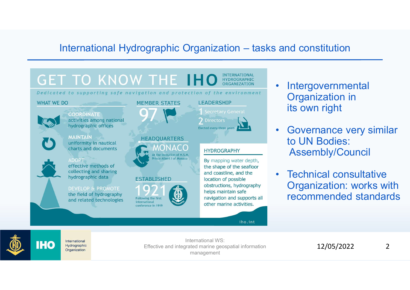# International Hydrographic Organization – tasks and constitution<br>
T TO KNOW THE IHO **EXECUTAL**



- and constitution<br>
 Intergovernmental<br>
Organization in<br>
its own right Organization in its own right
- and constitution<br>
 Intergovernmental<br>
Organization in<br>
its own right<br>
 Governance very similar<br>
to UN Bodies:<br>
Assembly/Council to UN Bodies: Assembly/Council
- Intergovernmental<br>
Organization in<br>
its own right<br>
 Governance very similar<br>
to UN Bodies:<br>
Assembly/Council<br>
 Technical consultative<br>
Organization: works with<br>
recommended standards Organization: works with recommended standards

International **IHO** Hydrographic Organization

International WS: Effective and integrated marine geospatial information management

12/05/2022 2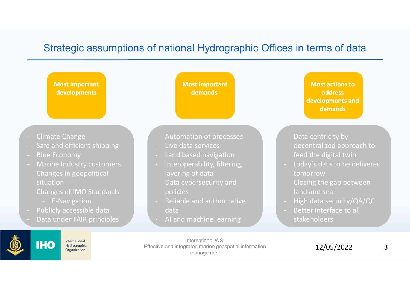### Strategic assumptions of national Hydrographic Offices in terms of data